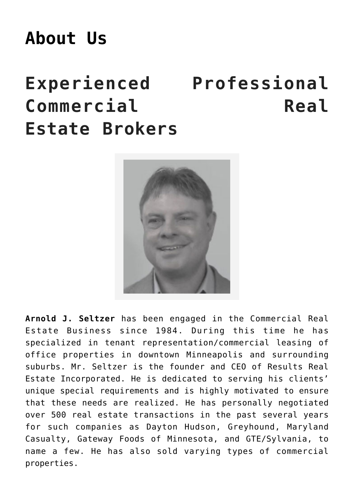## **[About Us](https://resultsrealestateinc.com/commercial-realestate-professionals/)**

## **Experienced Professional Commercial Real Estate Brokers**



**Arnold J. Seltzer** has been engaged in the Commercial Real Estate Business since 1984. During this time he has specialized in tenant representation/commercial leasing of office properties in downtown Minneapolis and surrounding suburbs. Mr. Seltzer is the founder and CEO of Results Real Estate Incorporated. He is dedicated to serving his clients' unique special requirements and is highly motivated to ensure that these needs are realized. He has personally negotiated over 500 real estate transactions in the past several years for such companies as Dayton Hudson, Greyhound, Maryland Casualty, Gateway Foods of Minnesota, and GTE/Sylvania, to name a few. He has also sold varying types of commercial properties.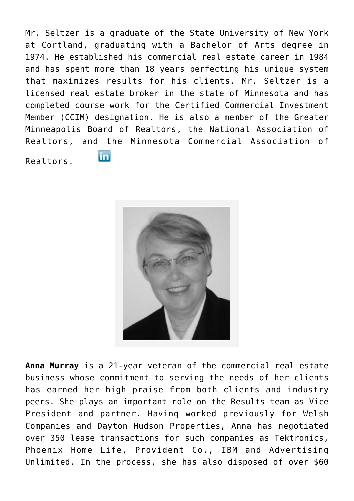Mr. Seltzer is a graduate of the State University of New York at Cortland, graduating with a Bachelor of Arts degree in 1974. He established his commercial real estate career in 1984 and has spent more than 18 years perfecting his unique system that maximizes results for his clients. Mr. Seltzer is a licensed real estate broker in the state of Minnesota and has completed course work for the Certified Commercial Investment Member (CCIM) designation. He is also a member of the Greater Minneapolis Board of Realtors, the National Association of Realtors, and the Minnesota Commercial Association of

Realtors.

in.



**Anna Murray** is a 21-year veteran of the commercial real estate business whose commitment to serving the needs of her clients has earned her high praise from both clients and industry peers. She plays an important role on the Results team as Vice President and partner. Having worked previously for Welsh Companies and Dayton Hudson Properties, Anna has negotiated over 350 lease transactions for such companies as Tektronics, Phoenix Home Life, Provident Co., IBM and Advertising Unlimited. In the process, she has also disposed of over \$60